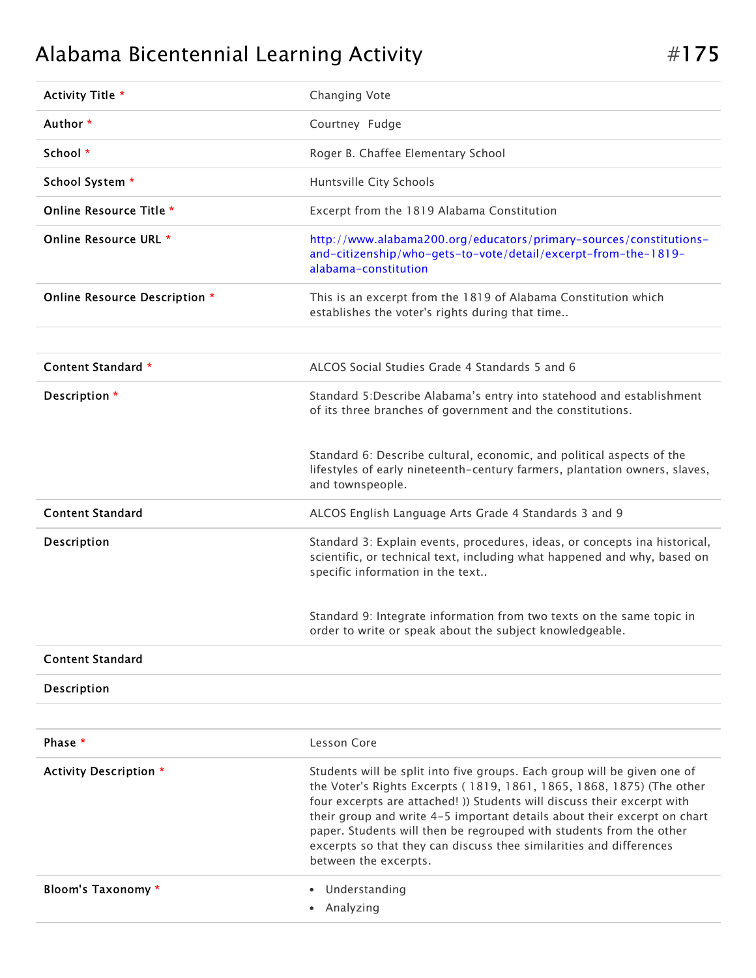# Alabama Bicentennial Learning Activity **Alabama** #175

| Activity Title *              | Changing Vote                                                                                                                                                                                                                                                                                                                                                                                                                                                                   |
|-------------------------------|---------------------------------------------------------------------------------------------------------------------------------------------------------------------------------------------------------------------------------------------------------------------------------------------------------------------------------------------------------------------------------------------------------------------------------------------------------------------------------|
| Author *                      | Courtney Fudge                                                                                                                                                                                                                                                                                                                                                                                                                                                                  |
| School *                      | Roger B. Chaffee Elementary School                                                                                                                                                                                                                                                                                                                                                                                                                                              |
| School System *               | Huntsville City Schools                                                                                                                                                                                                                                                                                                                                                                                                                                                         |
| Online Resource Title *       | Excerpt from the 1819 Alabama Constitution                                                                                                                                                                                                                                                                                                                                                                                                                                      |
| Online Resource URL *         | http://www.alabama200.org/educators/primary-sources/constitutions-<br>and-citizenship/who-gets-to-vote/detail/excerpt-from-the-1819-<br>alabama-constitution                                                                                                                                                                                                                                                                                                                    |
| Online Resource Description * | This is an excerpt from the 1819 of Alabama Constitution which<br>establishes the voter's rights during that time                                                                                                                                                                                                                                                                                                                                                               |
|                               |                                                                                                                                                                                                                                                                                                                                                                                                                                                                                 |
| Content Standard *            | ALCOS Social Studies Grade 4 Standards 5 and 6                                                                                                                                                                                                                                                                                                                                                                                                                                  |
| Description *                 | Standard 5:Describe Alabama's entry into statehood and establishment<br>of its three branches of government and the constitutions.                                                                                                                                                                                                                                                                                                                                              |
|                               | Standard 6: Describe cultural, economic, and political aspects of the<br>lifestyles of early nineteenth-century farmers, plantation owners, slaves,<br>and townspeople.                                                                                                                                                                                                                                                                                                         |
| <b>Content Standard</b>       | ALCOS English Language Arts Grade 4 Standards 3 and 9                                                                                                                                                                                                                                                                                                                                                                                                                           |
| Description                   | Standard 3: Explain events, procedures, ideas, or concepts ina historical,<br>scientific, or technical text, including what happened and why, based on<br>specific information in the text<br>Standard 9: Integrate information from two texts on the same topic in                                                                                                                                                                                                             |
|                               | order to write or speak about the subject knowledgeable.                                                                                                                                                                                                                                                                                                                                                                                                                        |
| <b>Content Standard</b>       |                                                                                                                                                                                                                                                                                                                                                                                                                                                                                 |
| Description                   |                                                                                                                                                                                                                                                                                                                                                                                                                                                                                 |
|                               |                                                                                                                                                                                                                                                                                                                                                                                                                                                                                 |
| Phase *                       | Lesson Core                                                                                                                                                                                                                                                                                                                                                                                                                                                                     |
| <b>Activity Description *</b> | Students will be split into five groups. Each group will be given one of<br>the Voter's Rights Excerpts (1819, 1861, 1865, 1868, 1875) (The other<br>four excerpts are attached! )) Students will discuss their excerpt with<br>their group and write 4-5 important details about their excerpt on chart<br>paper. Students will then be regrouped with students from the other<br>excerpts so that they can discuss thee similarities and differences<br>between the excerpts. |
| <b>Bloom's Taxonomy *</b>     | • Understanding<br>• Analyzing                                                                                                                                                                                                                                                                                                                                                                                                                                                  |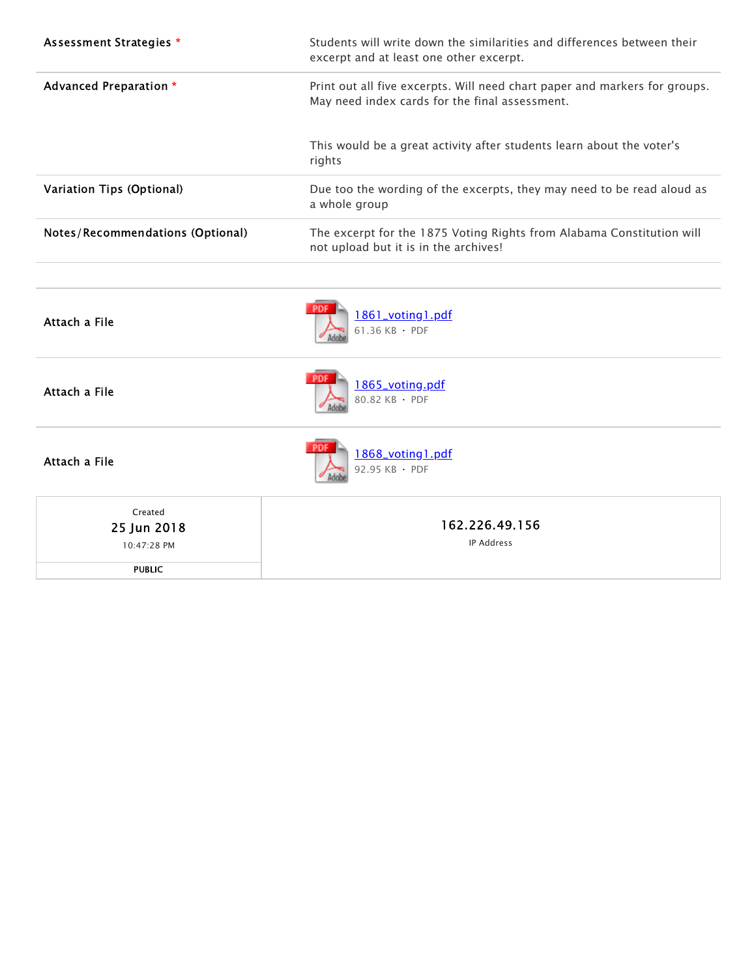| Assessment Strategies *          | Students will write down the similarities and differences between their<br>excerpt and at least one other excerpt.           |
|----------------------------------|------------------------------------------------------------------------------------------------------------------------------|
| Advanced Preparation *           | Print out all five excerpts. Will need chart paper and markers for groups.<br>May need index cards for the final assessment. |
|                                  | This would be a great activity after students learn about the voter's<br>rights                                              |
| Variation Tips (Optional)        | Due too the wording of the excerpts, they may need to be read aloud as<br>a whole group                                      |
| Notes/Recommendations (Optional) | The excerpt for the 1875 Voting Rights from Alabama Constitution will<br>not upload but it is in the archives!               |
|                                  |                                                                                                                              |
| Attach a File                    | 1861_voting1.pdf<br>$61.36 KB - PDF$                                                                                         |
| Attach a File                    | 1865_voting.pdf<br>80.82 KB · PDF                                                                                            |
| Attach a File                    | 1868_voting1.pdf<br>92.95 KB · PDF                                                                                           |
| Created                          |                                                                                                                              |
| 25 Jun 2018<br>10:47:28 PM       | 162.226.49.156<br><b>IP Address</b>                                                                                          |
| <b>PUBLIC</b>                    |                                                                                                                              |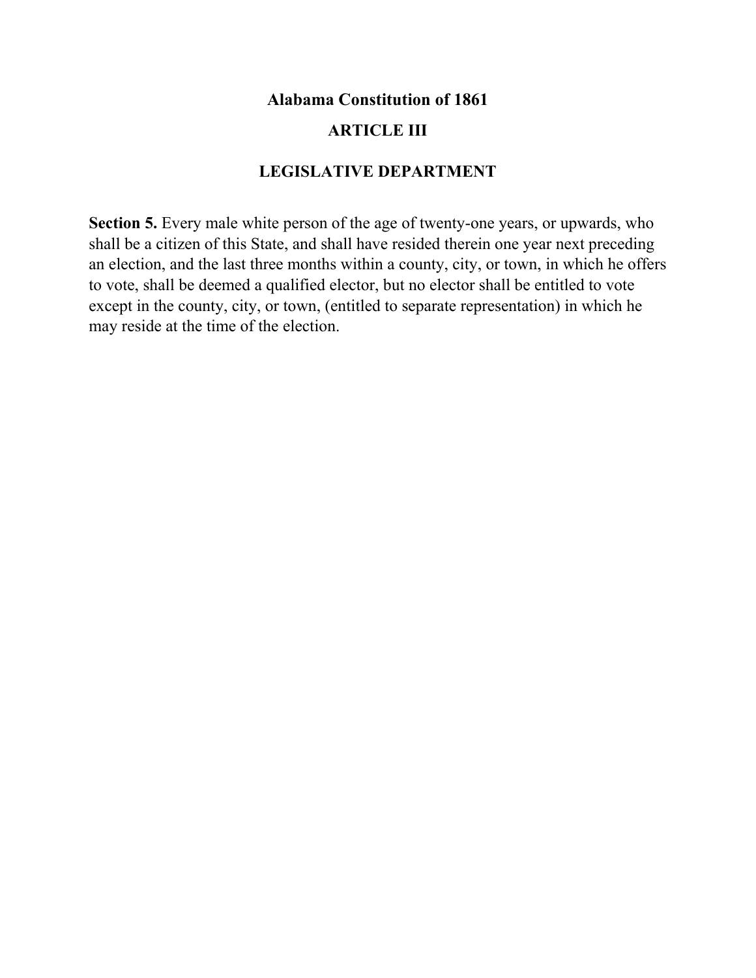# **Alabama Constitution of 1861**

# **ARTICLE III**

## **LEGISLATIVE DEPARTMENT**

**Section 5.** Every male white person of the age of twenty-one years, or upwards, who shall be a citizen of this State, and shall have resided therein one year next preceding an election, and the last three months within a county, city, or town, in which he offers to vote, shall be deemed a qualified elector, but no elector shall be entitled to vote except in the county, city, or town, (entitled to separate representation) in which he may reside at the time of the election.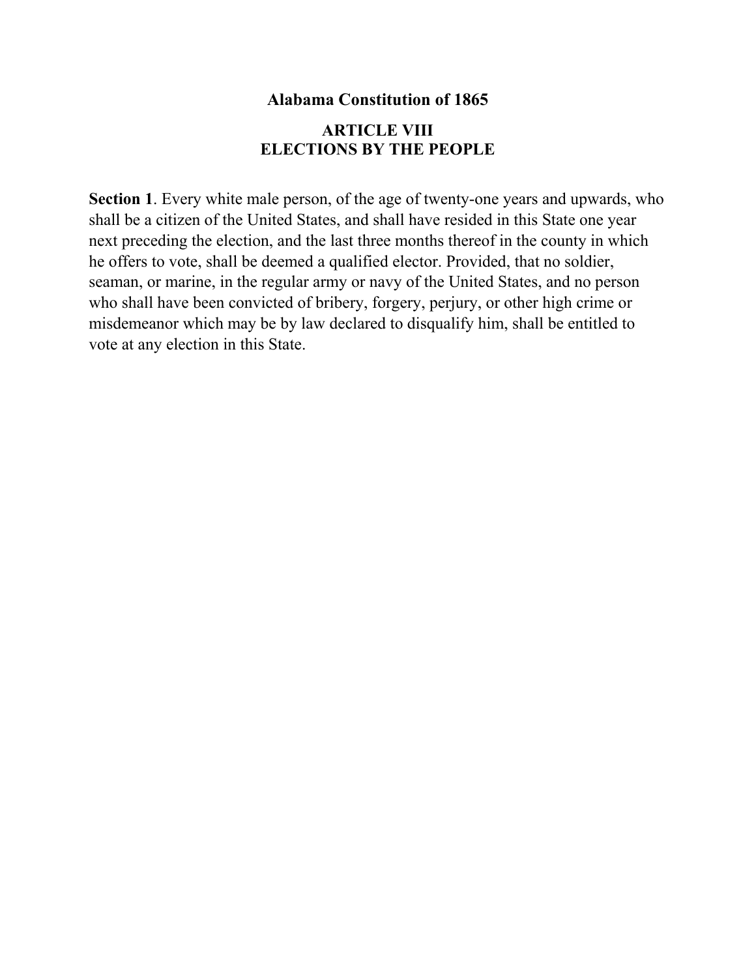#### **Alabama Constitution of 1865**

## **ARTICLE VIII ELECTIONS BY THE PEOPLE**

**Section 1**. Every white male person, of the age of twenty-one years and upwards, who shall be a citizen of the United States, and shall have resided in this State one year next preceding the election, and the last three months thereof in the county in which he offers to vote, shall be deemed a qualified elector. Provided, that no soldier, seaman, or marine, in the regular army or navy of the United States, and no person who shall have been convicted of bribery, forgery, perjury, or other high crime or misdemeanor which may be by law declared to disqualify him, shall be entitled to vote at any election in this State.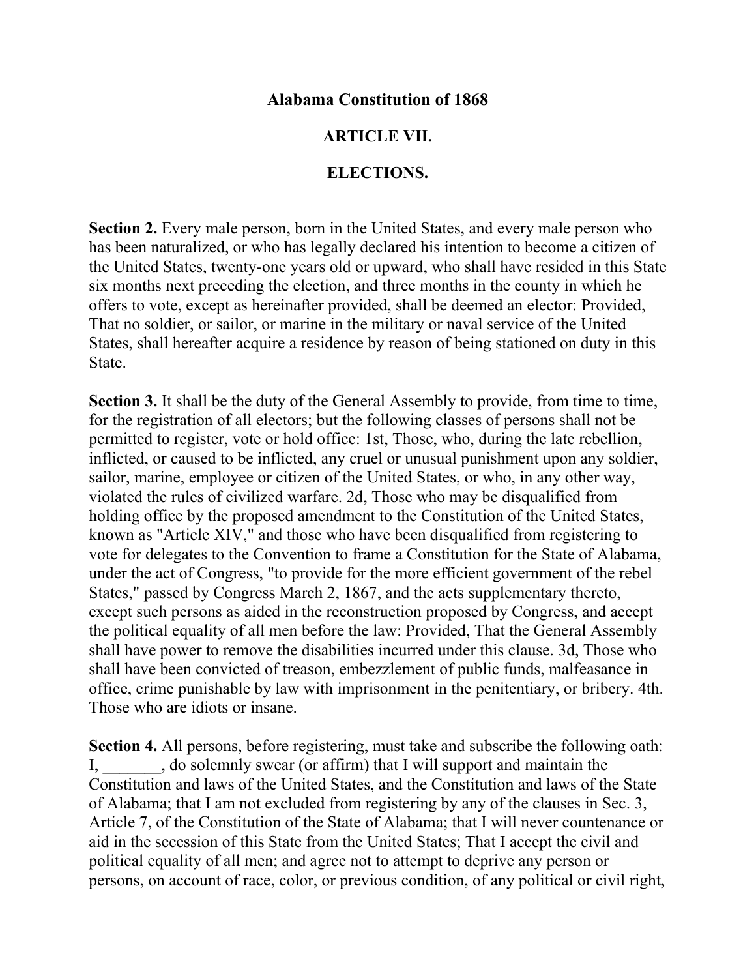## **Alabama Constitution of 1868**

#### **ARTICLE VII.**

#### **ELECTIONS.**

**Section 2.** Every male person, born in the United States, and every male person who has been naturalized, or who has legally declared his intention to become a citizen of the United States, twenty-one years old or upward, who shall have resided in this State six months next preceding the election, and three months in the county in which he offers to vote, except as hereinafter provided, shall be deemed an elector: Provided, That no soldier, or sailor, or marine in the military or naval service of the United States, shall hereafter acquire a residence by reason of being stationed on duty in this State.

**Section 3.** It shall be the duty of the General Assembly to provide, from time to time, for the registration of all electors; but the following classes of persons shall not be permitted to register, vote or hold office: 1st, Those, who, during the late rebellion, inflicted, or caused to be inflicted, any cruel or unusual punishment upon any soldier, sailor, marine, employee or citizen of the United States, or who, in any other way, violated the rules of civilized warfare. 2d, Those who may be disqualified from holding office by the proposed amendment to the Constitution of the United States, known as "Article XIV," and those who have been disqualified from registering to vote for delegates to the Convention to frame a Constitution for the State of Alabama, under the act of Congress, "to provide for the more efficient government of the rebel States," passed by Congress March 2, 1867, and the acts supplementary thereto, except such persons as aided in the reconstruction proposed by Congress, and accept the political equality of all men before the law: Provided, That the General Assembly shall have power to remove the disabilities incurred under this clause. 3d, Those who shall have been convicted of treason, embezzlement of public funds, malfeasance in office, crime punishable by law with imprisonment in the penitentiary, or bribery. 4th. Those who are idiots or insane.

**Section 4.** All persons, before registering, must take and subscribe the following oath: I, do solemnly swear (or affirm) that I will support and maintain the Constitution and laws of the United States, and the Constitution and laws of the State of Alabama; that I am not excluded from registering by any of the clauses in Sec. 3, Article 7, of the Constitution of the State of Alabama; that I will never countenance or aid in the secession of this State from the United States; That I accept the civil and political equality of all men; and agree not to attempt to deprive any person or persons, on account of race, color, or previous condition, of any political or civil right,